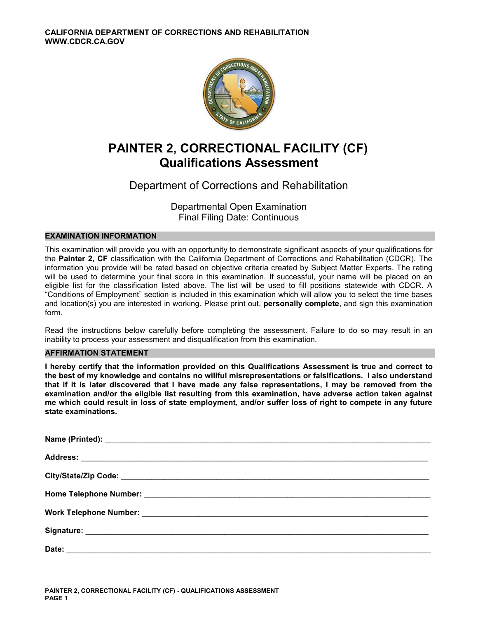

## **PAINTER 2, CORRECTIONAL FACILITY (CF) Qualifications Assessment**

## Department of Corrections and Rehabilitation

Departmental Open Examination Final Filing Date: Continuous

#### **EXAMINATION INFORMATION**

This examination will provide you with an opportunity to demonstrate significant aspects of your qualifications for the **Painter 2, CF** classification with the California Department of Corrections and Rehabilitation (CDCR). The information you provide will be rated based on objective criteria created by Subject Matter Experts. The rating will be used to determine your final score in this examination. If successful, your name will be placed on an eligible list for the classification listed above. The list will be used to fill positions statewide with CDCR. A "Conditions of Employment" section is included in this examination which will allow you to select the time bases and location(s) you are interested in working. Please print out, **personally complete**, and sign this examination form.

Read the instructions below carefully before completing the assessment. Failure to do so may result in an inability to process your assessment and disqualification from this examination.

#### **AFFIRMATION STATEMENT**

**I hereby certify that the information provided on this Qualifications Assessment is true and correct to the best of my knowledge and contains no willful misrepresentations or falsifications. I also understand that if it is later discovered that I have made any false representations, I may be removed from the examination and/or the eligible list resulting from this examination, have adverse action taken against me which could result in loss of state employment, and/or suffer loss of right to compete in any future state examinations.**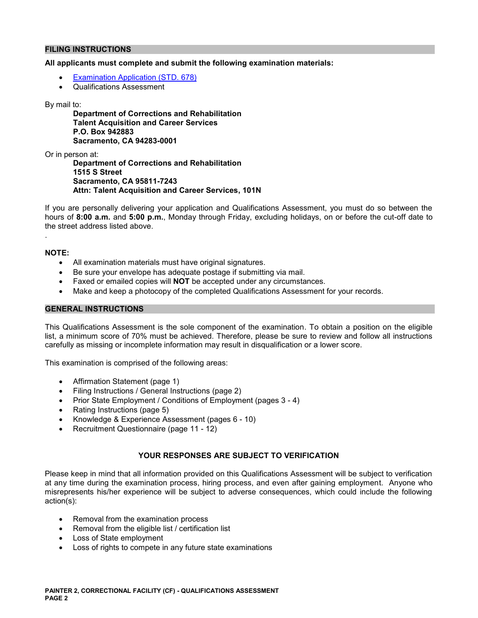#### **FILING INSTRUCTIONS**

#### **All applicants must complete and submit the following examination materials:**

- [Examination Application \(STD. 678\)](https://jobs.ca.gov/pdf/STD678.pdf)
- Qualifications Assessment

#### By mail to:

**Department of Corrections and Rehabilitation Talent Acquisition and Career Services P.O. Box 942883 Sacramento, CA 94283-0001** 

Or in person at:

**Department of Corrections and Rehabilitation 1515 S Street Sacramento, CA 95811-7243 Attn: Talent Acquisition and Career Services, 101N** 

If you are personally delivering your application and Qualifications Assessment, you must do so between the hours of **8:00 a.m.** and **5:00 p.m.**, Monday through Friday, excluding holidays, on or before the cut-off date to the street address listed above.

#### **NOTE:**

.

- All examination materials must have original signatures.
- Be sure your envelope has adequate postage if submitting via mail.
- Faxed or emailed copies will **NOT** be accepted under any circumstances.
- Make and keep a photocopy of the completed Qualifications Assessment for your records.

#### **GENERAL INSTRUCTIONS**

This Qualifications Assessment is the sole component of the examination. To obtain a position on the eligible list, a minimum score of 70% must be achieved. Therefore, please be sure to review and follow all instructions carefully as missing or incomplete information may result in disqualification or a lower score.

This examination is comprised of the following areas:

- Affirmation Statement (page 1)
- Filing Instructions / General Instructions (page 2)
- Prior State Employment / Conditions of Employment (pages 3 4)
- Rating Instructions (page 5)
- Knowledge & Experience Assessment (pages 6 10)
- Recruitment Questionnaire (page 11 12)

#### **YOUR RESPONSES ARE SUBJECT TO VERIFICATION**

Please keep in mind that all information provided on this Qualifications Assessment will be subject to verification at any time during the examination process, hiring process, and even after gaining employment. Anyone who misrepresents his/her experience will be subject to adverse consequences, which could include the following action(s):

- Removal from the examination process
- Removal from the eligible list / certification list
- Loss of State employment
- Loss of rights to compete in any future state examinations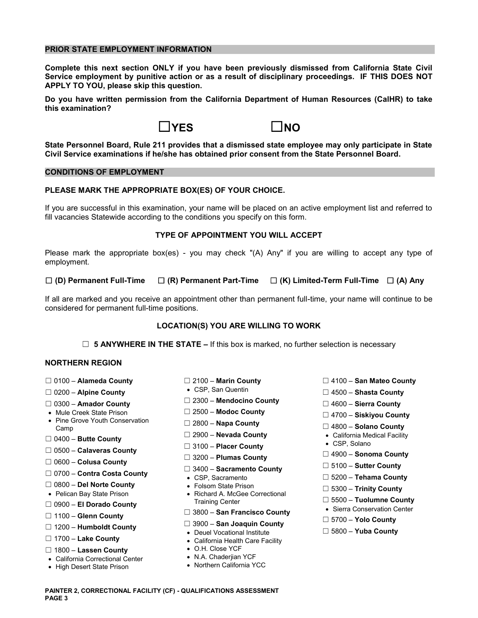#### **PRIOR STATE EMPLOYMENT INFORMATION**

**Complete this next section ONLY if you have been previously dismissed from California State Civil Service employment by punitive action or as a result of disciplinary proceedings. IF THIS DOES NOT APPLY TO YOU, please skip this question.** 

**Do you have written permission from the California Department of Human Resources (CalHR) to take this examination?** 





**State Personnel Board, Rule 211 provides that a dismissed state employee may only participate in State Civil Service examinations if he/she has obtained prior consent from the State Personnel Board.** 

#### **CONDITIONS OF EMPLOYMENT**

#### **PLEASE MARK THE APPROPRIATE BOX(ES) OF YOUR CHOICE.**

If you are successful in this examination, your name will be placed on an active employment list and referred to fill vacancies Statewide according to the conditions you specify on this form.

#### **TYPE OF APPOINTMENT YOU WILL ACCEPT**

Please mark the appropriate box(es) - you may check "(A) Any" if you are willing to accept any type of employment.

#### ☐ **(D) Permanent Full-Time** ☐ **(R) Permanent Part-Time** ☐ **(K) Limited-Term Full-Time** ☐ **(A) Any**

If all are marked and you receive an appointment other than permanent full-time, your name will continue to be considered for permanent full-time positions.

#### **LOCATION(S) YOU ARE WILLING TO WORK**

☐ **5 ANYWHERE IN THE STATE –** If this box is marked, no further selection is necessary

#### **NORTHERN REGION**

- 
- 
- 
- 
- Mule Creek State Prison ☐ 2500 **Modoc County** ☐ 4700 **Siskiyou County**  Pine Grove Youth Conservation ☐ 2800 **Napa County** Camp ☐ 4800 **Solano County**  Camp<br>
□ 2900 – Nevada County △ 2900 – Nevada County → California Medical Facility<br>
□ 2900 – **Nevada County → California Medical Facility**<br>
○ 2900 – **Placer County → CSP**, Solano
- 
- ☐ **Placer County**  CSP, Solano 3100 ☐ 0500 **Calaveras County**
- ☐ 0600 **Colusa County**
- ☐ 0700 **Contra Costa County**  CSP, Sacramento ☐ 5200 **Tehama County**
- 
- 
- 
- 
- 
- 
- ☐ 1800 **Lassen County**  O.H. Close YCF
- California Correctional Center N.A. Chaderjian YCF
- High Desert State Prison
- 
- 
- ☐ ☐ 2300 **Mendocino County** 0300 **Amador County** ☐ 4600 **Sierra County** 
	-
	-
	-
	-
	-
	- ☐ 5100 **Sutter County** 3400 **Sacramento County** ☐
	-
	-
- ☐ 0800 **Del Norte County**  Folsom State Prison ☐ 5300 **Trinity County**  Pelican Bay State Prison Richard A. McGee Correctional Training Center ☐ 5500 – **Tuolumne County** ☐ 0900 – **El Dorado County** Sierra Conservation Center

# ☐ ☐ 3800 – **San Francisco County**

- 1100 **Glenn County** ☐ 5700 **Yolo County**
- ☐ ☐ 3900 **San Joaquin County** 1200 **Humboldt County**  Deuel Vocational Institute ☐ 5800 **Yuba County** 
	- California Health Care Facility
	-
	-
	-
- ☐ 0100 **Alameda County** ☐ 2100 **Marin County** ☐ 4100 **San Mateo County**
- □ 0200 Alpine County CSP, San Quentin <br>
□ 4500 **Shasta County** 
	-
	-
	-
	-
	-
	- ☐ 4900 **Sonoma County** 3200 **Plumas County** ☐
	-
	-
	-
	-
	-
	-
	-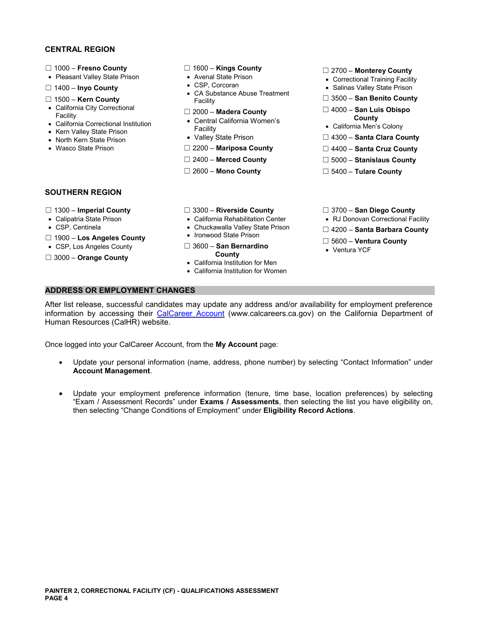#### **CENTRAL REGION**

- 
- ☐ 1000 **Fresno County** ☐ 1600 **Kings County** ☐ 2700 **Monterey County**  Pleasant Valley State Prison Avenal State Prison Correctional Training Facility
- 
- 
- 
- 
- Facility California Men's Colony Kern Valley State Prison
- 
- 

- 
- 
- □ 1400 **Inyo County** <br>CA Substance Abuse Treatment **SALING SALING SALING OF SALING COUNT**<br>Facility Facility **COUNTER SALING SALING SALING SALING SALING SALING SALING SALING SALING SALING SALING SALING SALING SALING SALI** ☐ 1500 – **Kern County** ☐ 3500 – Facility **San Benito County** 
	-
- California Correctional Institution **COUNTY And Correctional Institution**<br>Facility **County Acts** California Men's Colony
	-
	-
	-
	-
- 
- 
- 
- 
- California City Correctional ☐ 2000 **Madera County** ☐ 4000 **San Luis Obispo** Facility
	-
- North Kern State Prison Valley State Prison □ 4300 **Santa Clara County**
- Wasco State Prison ☐ 2200 **Mariposa County** ☐ 4400 **Santa Cruz County** 
	- ☐ 2400 **Merced County** ☐ 5000 **Stanislaus County**
	- ☐ 2600 **Mono County** ☐ 5400 **Tulare County**

#### **SOUTHERN REGION**

- 
- 
- 
- 
- 
- ☐ **County** 3000 **Orange County**  California Institution for Men
- ☐ 1300 **Imperial County** ☐ 3300 **Riverside County** ☐ 3700 **San Diego County** 
	-
	-

California Institution for Women

- 
- ☐ **Los Angeles County**  Ironwood State Prison 1900 ☐ 5600 **Ventura County**  CSP, Los Angeles County ☐ 3600 **San Bernardino**  Ventura YCF
- Calipatria State Prison California Rehabilitation Center RJ Donovan Correctional Facility
- CSP, Centinela **County Chuckawalla Valley State Prison** <u>□ 4200</u> **Santa Barbara County**<br>□ 1900 Los Angeles County Ironwood State Prison □ E600 Venture County
	-
	-

**ADDRESS OR EMPLOYMENT CHANGES** 

After list release, successful candidates may update any address and/or availability for employment preference information by accessing their [CalCareer Account](https://www.jobs.ca.gov/) (www.calcareers.ca.gov) on the California Department of Human Resources (CalHR) website.

Once logged into your CalCareer Account, from the **My Account** page:

- Update your personal information (name, address, phone number) by selecting "Contact Information" under **Account Management**.
- Update your employment preference information (tenure, time base, location preferences) by selecting "Exam / Assessment Records" under **Exams / Assessments**, then selecting the list you have eligibility on, then selecting "Change Conditions of Employment" under **Eligibility Record Actions**.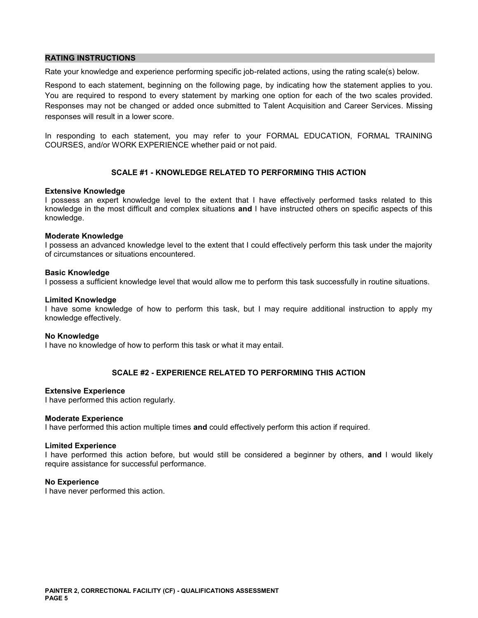#### **RATING INSTRUCTIONS**

Rate your knowledge and experience performing specific job-related actions, using the rating scale(s) below.

Respond to each statement, beginning on the following page, by indicating how the statement applies to you. You are required to respond to every statement by marking one option for each of the two scales provided. Responses may not be changed or added once submitted to Talent Acquisition and Career Services. Missing responses will result in a lower score.

In responding to each statement, you may refer to your FORMAL EDUCATION, FORMAL TRAINING COURSES, and/or WORK EXPERIENCE whether paid or not paid.

#### **SCALE #1 - KNOWLEDGE RELATED TO PERFORMING THIS ACTION**

#### **Extensive Knowledge**

I possess an expert knowledge level to the extent that I have effectively performed tasks related to this knowledge in the most difficult and complex situations **and** I have instructed others on specific aspects of this knowledge.

#### **Moderate Knowledge**

I possess an advanced knowledge level to the extent that I could effectively perform this task under the majority of circumstances or situations encountered.

#### **Basic Knowledge**

I possess a sufficient knowledge level that would allow me to perform this task successfully in routine situations.

#### **Limited Knowledge**

I have some knowledge of how to perform this task, but I may require additional instruction to apply my knowledge effectively.

#### **No Knowledge**

I have no knowledge of how to perform this task or what it may entail.

#### **SCALE #2 - EXPERIENCE RELATED TO PERFORMING THIS ACTION**

#### **Extensive Experience**

I have performed this action regularly.

#### **Moderate Experience**

I have performed this action multiple times **and** could effectively perform this action if required.

#### **Limited Experience**

I have performed this action before, but would still be considered a beginner by others, **and** I would likely require assistance for successful performance.

#### **No Experience**

I have never performed this action.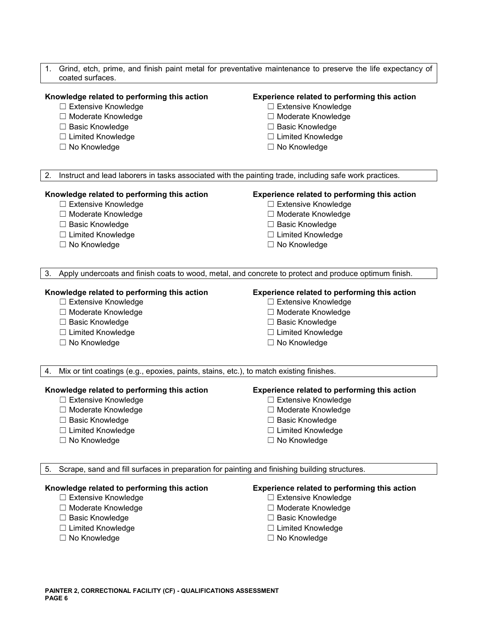| 1. | Grind, etch, prime, and finish paint metal for preventative maintenance to preserve the life expectancy of<br>coated surfaces. |                                                                                                        |  |  |  |
|----|--------------------------------------------------------------------------------------------------------------------------------|--------------------------------------------------------------------------------------------------------|--|--|--|
|    | Knowledge related to performing this action                                                                                    | Experience related to performing this action                                                           |  |  |  |
|    | □ Extensive Knowledge                                                                                                          | □ Extensive Knowledge                                                                                  |  |  |  |
|    | □ Moderate Knowledge                                                                                                           | □ Moderate Knowledge                                                                                   |  |  |  |
|    | □ Basic Knowledge                                                                                                              | □ Basic Knowledge                                                                                      |  |  |  |
|    | □ Limited Knowledge                                                                                                            | □ Limited Knowledge                                                                                    |  |  |  |
|    | □ No Knowledge                                                                                                                 | □ No Knowledge                                                                                         |  |  |  |
|    |                                                                                                                                |                                                                                                        |  |  |  |
| 2. |                                                                                                                                | Instruct and lead laborers in tasks associated with the painting trade, including safe work practices. |  |  |  |
|    | Knowledge related to performing this action                                                                                    | Experience related to performing this action                                                           |  |  |  |
|    | □ Extensive Knowledge                                                                                                          | □ Extensive Knowledge                                                                                  |  |  |  |
|    | □ Moderate Knowledge                                                                                                           | □ Moderate Knowledge                                                                                   |  |  |  |
|    | □ Basic Knowledge                                                                                                              | □ Basic Knowledge                                                                                      |  |  |  |
|    | □ Limited Knowledge                                                                                                            | □ Limited Knowledge                                                                                    |  |  |  |
|    | □ No Knowledge                                                                                                                 | □ No Knowledge                                                                                         |  |  |  |
|    |                                                                                                                                |                                                                                                        |  |  |  |
| 3. |                                                                                                                                | Apply undercoats and finish coats to wood, metal, and concrete to protect and produce optimum finish.  |  |  |  |
|    |                                                                                                                                |                                                                                                        |  |  |  |
|    | Knowledge related to performing this action                                                                                    | Experience related to performing this action                                                           |  |  |  |
|    | □ Extensive Knowledge                                                                                                          | □ Extensive Knowledge                                                                                  |  |  |  |
|    | □ Moderate Knowledge                                                                                                           | □ Moderate Knowledge                                                                                   |  |  |  |
|    | □ Basic Knowledge                                                                                                              | □ Basic Knowledge                                                                                      |  |  |  |
|    | □ Limited Knowledge                                                                                                            | □ Limited Knowledge                                                                                    |  |  |  |
|    | □ No Knowledge                                                                                                                 | □ No Knowledge                                                                                         |  |  |  |
| 4. | Mix or tint coatings (e.g., epoxies, paints, stains, etc.), to match existing finishes.                                        |                                                                                                        |  |  |  |
|    |                                                                                                                                |                                                                                                        |  |  |  |
|    | Knowledge related to performing this action                                                                                    | Experience related to performing this action                                                           |  |  |  |
|    | □ Extensive Knowledge                                                                                                          | □ Extensive Knowledge                                                                                  |  |  |  |
|    | $\Box$ Moderate Knowledge                                                                                                      | □ Moderate Knowledge                                                                                   |  |  |  |
|    | コ Basic Knowledge                                                                                                              | <b>Basic Knowledge</b>                                                                                 |  |  |  |
|    | $\Box$ Limited Knowledge                                                                                                       | <b>Limited Knowledge</b>                                                                               |  |  |  |
|    | □ No Knowledge                                                                                                                 | No Knowledge<br>Ш                                                                                      |  |  |  |
| 5. | Scrape, sand and fill surfaces in preparation for painting and finishing building structures.                                  |                                                                                                        |  |  |  |
|    |                                                                                                                                |                                                                                                        |  |  |  |
|    | Knowledge related to performing this action                                                                                    | Experience related to performing this action                                                           |  |  |  |
|    | □ Extensive Knowledge                                                                                                          | □ Extensive Knowledge                                                                                  |  |  |  |
|    | □ Moderate Knowledge                                                                                                           | □ Moderate Knowledge                                                                                   |  |  |  |
|    | <b>Basic Knowledge</b>                                                                                                         | <b>Basic Knowledge</b>                                                                                 |  |  |  |

- 
- ☐ Limited Knowledge ☐ Limited Knowledge
- ☐ No Knowledge ☐ No Knowledge

**PAGE 6** 

# **PAINTER 2, CORRECTIONAL FACILITY (CF) - QUALIFICATIONS ASSESSMENT**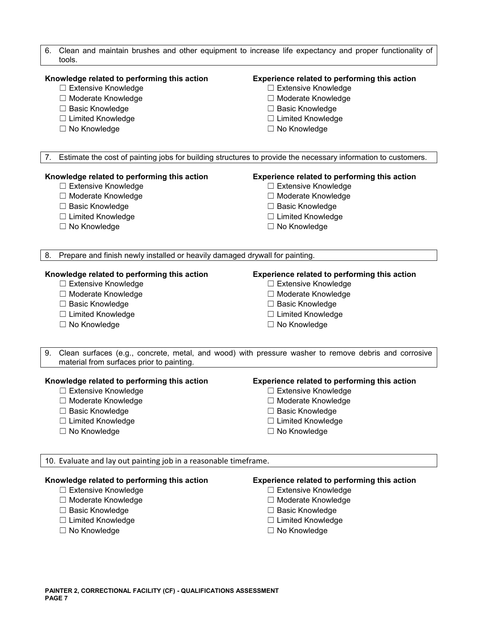| Clean and maintain brushes and other equipment to increase life expectancy and proper functionality of<br>6.<br>tools. |                                                                                                               |  |  |  |
|------------------------------------------------------------------------------------------------------------------------|---------------------------------------------------------------------------------------------------------------|--|--|--|
| Knowledge related to performing this action                                                                            | Experience related to performing this action                                                                  |  |  |  |
| $\Box$ Extensive Knowledge                                                                                             | □ Extensive Knowledge                                                                                         |  |  |  |
| □ Moderate Knowledge                                                                                                   | □ Moderate Knowledge                                                                                          |  |  |  |
| □ Basic Knowledge                                                                                                      | □ Basic Knowledge                                                                                             |  |  |  |
| □ Limited Knowledge                                                                                                    | □ Limited Knowledge                                                                                           |  |  |  |
| □ No Knowledge                                                                                                         | □ No Knowledge                                                                                                |  |  |  |
| 7.                                                                                                                     | Estimate the cost of painting jobs for building structures to provide the necessary information to customers. |  |  |  |
| Knowledge related to performing this action                                                                            | Experience related to performing this action                                                                  |  |  |  |
| □ Extensive Knowledge                                                                                                  | □ Extensive Knowledge                                                                                         |  |  |  |
| □ Moderate Knowledge                                                                                                   | □ Moderate Knowledge                                                                                          |  |  |  |
| □ Basic Knowledge                                                                                                      | □ Basic Knowledge                                                                                             |  |  |  |
| □ Limited Knowledge                                                                                                    | □ Limited Knowledge                                                                                           |  |  |  |
| □ No Knowledge                                                                                                         | $\Box$ No Knowledge                                                                                           |  |  |  |
| Prepare and finish newly installed or heavily damaged drywall for painting.<br>8.                                      |                                                                                                               |  |  |  |
| Knowledge related to performing this action                                                                            | Experience related to performing this action                                                                  |  |  |  |
| □ Extensive Knowledge                                                                                                  | □ Extensive Knowledge                                                                                         |  |  |  |
| □ Moderate Knowledge                                                                                                   | □ Moderate Knowledge                                                                                          |  |  |  |
| □ Basic Knowledge                                                                                                      | □ Basic Knowledge                                                                                             |  |  |  |
| □ Limited Knowledge                                                                                                    | □ Limited Knowledge                                                                                           |  |  |  |
| □ No Knowledge                                                                                                         | $\Box$ No Knowledge                                                                                           |  |  |  |
| material from surfaces prior to painting.                                                                              | 9. Clean surfaces (e.g., concrete, metal, and wood) with pressure washer to remove debris and corrosive       |  |  |  |
| Knowledge related to performing this action                                                                            | Experience related to performing this action                                                                  |  |  |  |
| $\Box$ Extensive Knowledge                                                                                             | $\Box$ Extensive Knowledge                                                                                    |  |  |  |
| □ Moderate Knowledge                                                                                                   | □ Moderate Knowledge                                                                                          |  |  |  |
| □ Basic Knowledge                                                                                                      | □ Basic Knowledge                                                                                             |  |  |  |
| □ Limited Knowledge                                                                                                    | □ Limited Knowledge                                                                                           |  |  |  |
| □ No Knowledge                                                                                                         | $\Box$ No Knowledge                                                                                           |  |  |  |
| 10. Evaluate and lay out painting job in a reasonable timeframe.                                                       |                                                                                                               |  |  |  |
| Knowledge related to performing this action                                                                            | Experience related to performing this action                                                                  |  |  |  |
| □ Extensive Knowledge                                                                                                  | □ Extensive Knowledge                                                                                         |  |  |  |
| □ Moderate Knowledge                                                                                                   | □ Moderate Knowledge                                                                                          |  |  |  |
| □ Basic Knowledge                                                                                                      | □ Basic Knowledge                                                                                             |  |  |  |
| $\Box$ Limited Knowledge                                                                                               | □ Limited Knowledge                                                                                           |  |  |  |
| □ No Knowledge                                                                                                         | □ No Knowledge                                                                                                |  |  |  |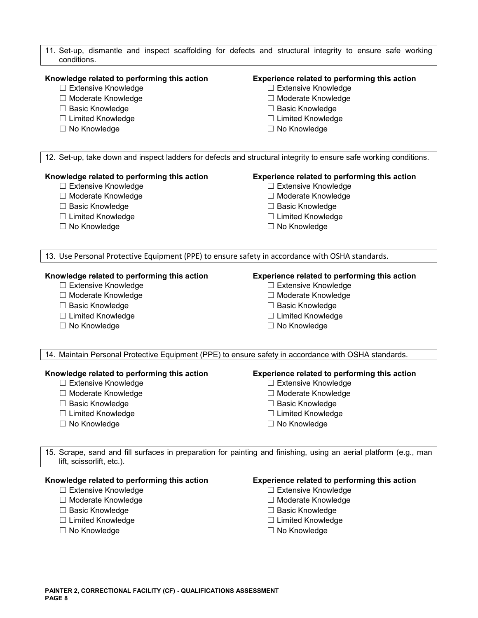- 11. Set-up, dismantle and inspect scaffolding for defects and structural integrity to ensure safe working conditions. **Knowledge related to performing this action Experience related to performing this action**  ☐ Extensive Knowledge ☐ Extensive Knowledge ☐ Moderate Knowledge ☐ Moderate Knowledge ☐ Basic Knowledge ☐ Basic Knowledge ☐ Limited Knowledge ☐ Limited Knowledge ☐ No Knowledge ☐ No Knowledge 12. Set-up, take down and inspect ladders for defects and structural integrity to ensure safe working conditions. **Knowledge related to performing this action Experience related to performing this action**  ☐ Extensive Knowledge ☐ Extensive Knowledge ☐ Moderate Knowledge ☐ Moderate Knowledge ☐ Basic Knowledge ☐ Basic Knowledge ☐ Limited Knowledge ☐ Limited Knowledge ☐ No Knowledge ☐ No Knowledge 13. Use Personal Protective Equipment (PPE) to ensure safety in accordance with OSHA standards. **Knowledge related to performing this action Experience related to performing this action**  ☐ Extensive Knowledge ☐ Extensive Knowledge ☐ Moderate Knowledge ☐ Moderate Knowledge ☐ Basic Knowledge ☐ Basic Knowledge ☐ Limited Knowledge ☐ Limited Knowledge ☐ No Knowledge ☐ No Knowledge 14. Maintain Personal Protective Equipment (PPE) to ensure safety in accordance with OSHA standards. **Knowledge related to performing this action Experience related to performing this action**  ☐ Extensive Knowledge ☐ Extensive Knowledge ☐ Moderate Knowledge ☐ Moderate Knowledge ☐ Basic Knowledge ☐ Basic Knowledge ☐ Limited Knowledge ☐ Limited Knowledge ☐ No Knowledge ☐ No Knowledge 15. Scrape, sand and fill surfaces in preparation for painting and finishing, using an aerial platform (e.g., man lift, scissorlift, etc.). **Knowledge related to performing this action Experience related to performing this action**  ☐ Extensive Knowledge ☐ Extensive Knowledge ☐ Moderate Knowledge ☐ Moderate Knowledge ☐ Basic Knowledge ☐ Basic Knowledge
	- ☐ Limited Knowledge ☐ Limited Knowledge
	-
- 
- 
- ☐ No Knowledge ☐ No Knowledge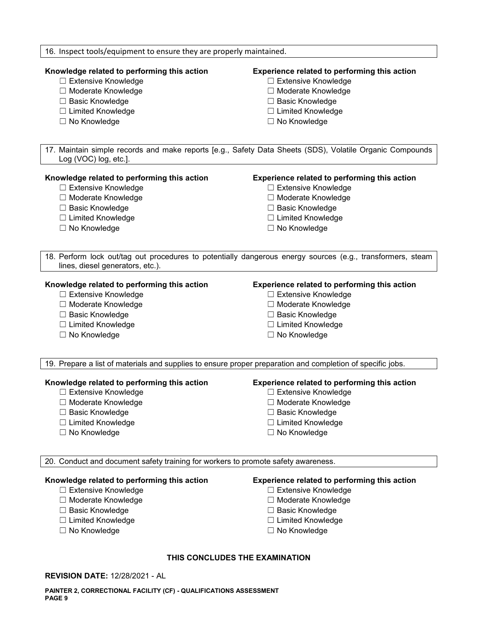| 16. Inspect tools/equipment to ensure they are properly maintained.                                                                                             |                                                                                                                                                                    |  |  |  |
|-----------------------------------------------------------------------------------------------------------------------------------------------------------------|--------------------------------------------------------------------------------------------------------------------------------------------------------------------|--|--|--|
| Knowledge related to performing this action<br>□ Extensive Knowledge<br>□ Moderate Knowledge<br>□ Basic Knowledge<br>□ Limited Knowledge<br>□ No Knowledge      | Experience related to performing this action<br>□ Extensive Knowledge<br>□ Moderate Knowledge<br>□ Basic Knowledge<br>□ Limited Knowledge<br>□ No Knowledge        |  |  |  |
| Log (VOC) log, etc.].                                                                                                                                           | 17. Maintain simple records and make reports [e.g., Safety Data Sheets (SDS), Volatile Organic Compounds                                                           |  |  |  |
| Knowledge related to performing this action<br>□ Extensive Knowledge<br>□ Moderate Knowledge<br>□ Basic Knowledge<br>□ Limited Knowledge<br>□ No Knowledge      | <b>Experience related to performing this action</b><br>□ Extensive Knowledge<br>□ Moderate Knowledge<br>□ Basic Knowledge<br>□ Limited Knowledge<br>□ No Knowledge |  |  |  |
| lines, diesel generators, etc.).                                                                                                                                | 18. Perform lock out/tag out procedures to potentially dangerous energy sources (e.g., transformers, steam                                                         |  |  |  |
| Knowledge related to performing this action<br>□ Extensive Knowledge<br>□ Moderate Knowledge<br>□ Basic Knowledge<br>□ Limited Knowledge<br>□ No Knowledge      | <b>Experience related to performing this action</b><br>□ Extensive Knowledge<br>□ Moderate Knowledge<br>□ Basic Knowledge<br>□ Limited Knowledge<br>□ No Knowledge |  |  |  |
| 19. Prepare a list of materials and supplies to ensure proper preparation and completion of specific jobs.                                                      |                                                                                                                                                                    |  |  |  |
| Knowledge related to performing this action<br>$\Box$ Extensive Knowledge<br>□ Moderate Knowledge<br>□ Basic Knowledge<br>□ Limited Knowledge<br>□ No Knowledge | Experience related to performing this action<br>$\Box$ Extensive Knowledge<br>□ Moderate Knowledge<br>□ Basic Knowledge<br>□ Limited Knowledge<br>□ No Knowledge   |  |  |  |
| 20. Conduct and document safety training for workers to promote safety awareness.                                                                               |                                                                                                                                                                    |  |  |  |
| Knowledge related to performing this action<br>□ Extensive Knowledge<br>□ Moderate Knowledge<br>□ Basic Knowledge<br>□ Limited Knowledge                        | <b>Experience related to performing this action</b><br>□ Extensive Knowledge<br>□ Moderate Knowledge<br>□ Basic Knowledge<br>□ Limited Knowledge                   |  |  |  |

- 
- 
- 
- ☐ No Knowledge ☐ No Knowledge

### **THIS CONCLUDES THE EXAMINATION**

**REVISION DATE:** 12/28/2021 - AL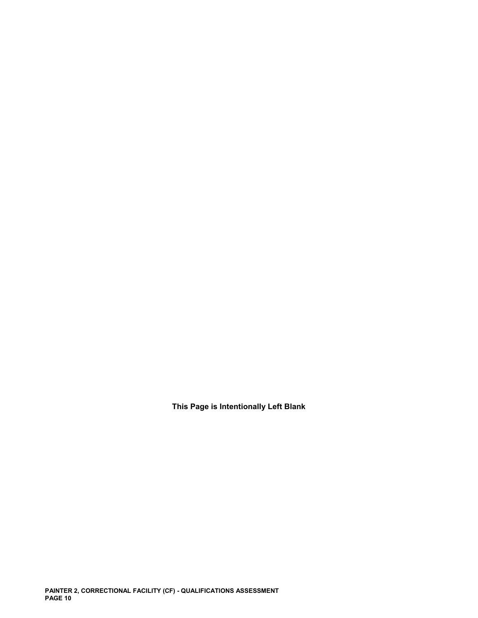**This Page is Intentionally Left Blank**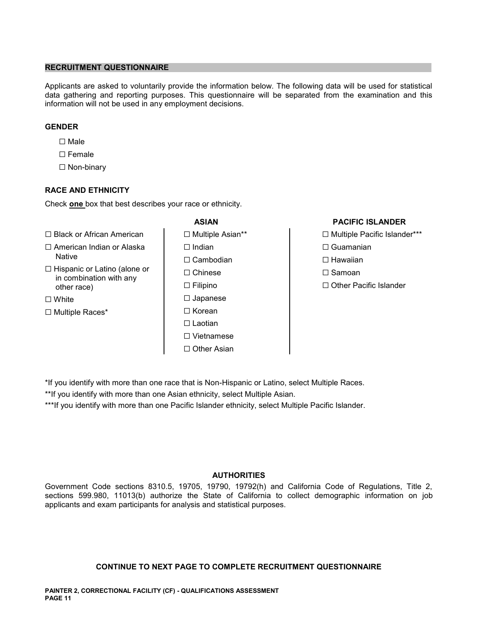#### **RECRUITMENT QUESTIONNAIRE**

Applicants are asked to voluntarily provide the information below. The following data will be used for statistical data gathering and reporting purposes. This questionnaire will be separated from the examination and this information will not be used in any employment decisions.

#### **GENDER**

- ☐ Male
- ☐ Female
- ☐ Non-binary

#### **RACE AND ETHNICITY**

Check **one** box that best describes your race or ethnicity.

|                                                                               | AVIAN              | . AVII IV         |
|-------------------------------------------------------------------------------|--------------------|-------------------|
| $\Box$ Black or African American                                              | □ Multiple Asian** | $\Box$ Multiple P |
| $\Box$ American Indian or Alaska<br><b>Native</b>                             | $\Box$ Indian      | $\Box$ Guamania   |
|                                                                               | $\Box$ Cambodian   | $\Box$ Hawaiian   |
| $\Box$ Hispanic or Latino (alone or<br>in combination with any<br>other race) | $\Box$ Chinese     | $\Box$ Samoan     |
|                                                                               | $\Box$ Filipino    | □ Other Pac       |
| $\Box$ White                                                                  | $\Box$ Japanese    |                   |
| $\Box$ Multiple Races*                                                        | $\Box$ Korean      |                   |
|                                                                               | $\Box$ Laotian     |                   |
|                                                                               | Vietnamese         |                   |
|                                                                               |                    |                   |

### **ASIAN PACIFIC ISLANDER**

- Лultiple Asian\*\* │ □ Multiple Pacific Islander\*\*\*
- ndian Indian Indian **□ Indian** 
	-
	-
- other race) ☐ Filipino ☐ Other Pacific Islander

\*If you identify with more than one race that is Non-Hispanic or Latino, select Multiple Races.

□ Other Asian

\*\*If you identify with more than one Asian ethnicity, select Multiple Asian.

\*\*\*If you identify with more than one Pacific Islander ethnicity, select Multiple Pacific Islander.

#### **AUTHORITIES**

Government Code sections 8310.5, 19705, 19790, 19792(h) and California Code of Regulations, Title 2, sections 599.980, 11013(b) authorize the State of California to collect demographic information on job applicants and exam participants for analysis and statistical purposes.

#### **CONTINUE TO NEXT PAGE TO COMPLETE RECRUITMENT QUESTIONNAIRE**